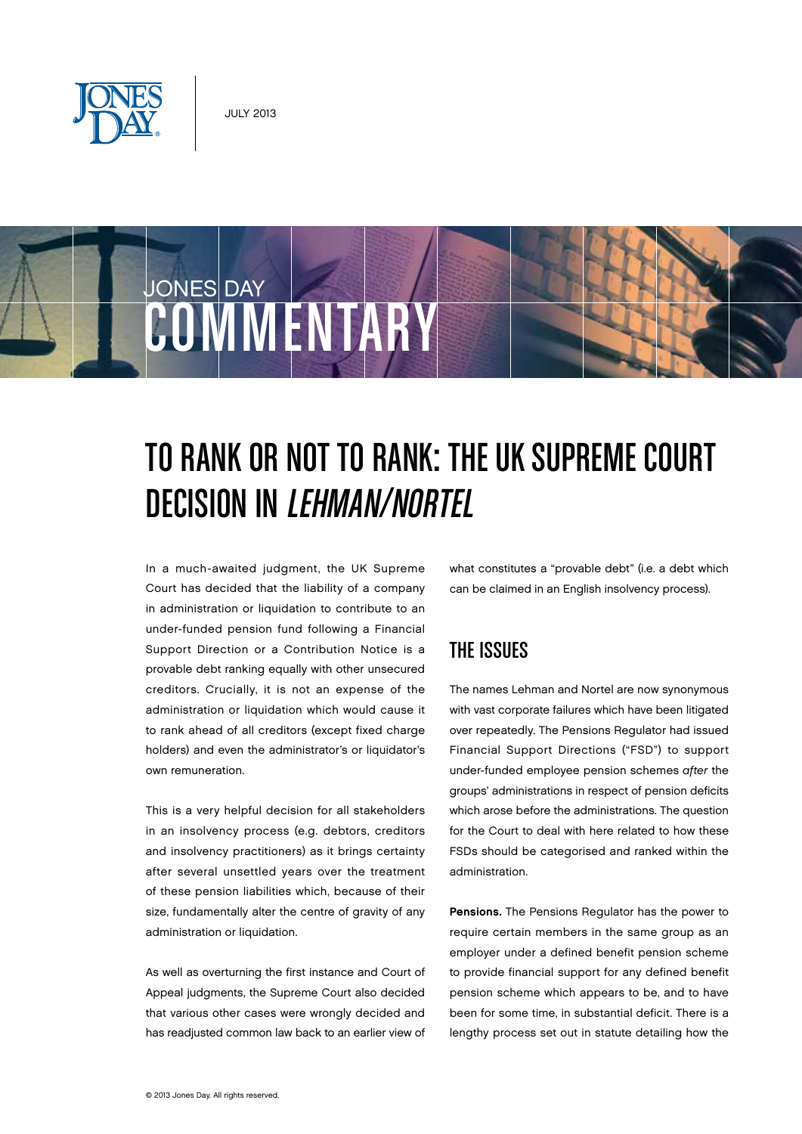





# TO RANK OR NOT TO RANK: THE UK SUPREME COURT Decision in Lehman/Nortel

In a much-awaited judgment, the UK Supreme Court has decided that the liability of a company in administration or liquidation to contribute to an under-funded pension fund following a Financial Support Direction or a Contribution Notice is a provable debt ranking equally with other unsecured creditors. Crucially, it is not an expense of the administration or liquidation which would cause it to rank ahead of all creditors (except fixed charge holders) and even the administrator's or liquidator's own remuneration.

This is a very helpful decision for all stakeholders in an insolvency process (e.g. debtors, creditors and insolvency practitioners) as it brings certainty after several unsettled years over the treatment of these pension liabilities which, because of their size, fundamentally alter the centre of gravity of any administration or liquidation.

As well as overturning the first instance and Court of Appeal judgments, the Supreme Court also decided that various other cases were wrongly decided and has readjusted common law back to an earlier view of what constitutes a "provable debt" (i.e. a debt which can be claimed in an English insolvency process).

# The Issues

The names Lehman and Nortel are now synonymous with vast corporate failures which have been litigated over repeatedly. The Pensions Regulator had issued Financial Support Directions ("FSD") to support under-funded employee pension schemes after the groups' administrations in respect of pension deficits which arose before the administrations. The question for the Court to deal with here related to how these FSDs should be categorised and ranked within the administration.

Pensions. The Pensions Regulator has the power to require certain members in the same group as an employer under a defined benefit pension scheme to provide financial support for any defined benefit pension scheme which appears to be, and to have been for some time, in substantial deficit. There is a lengthy process set out in statute detailing how the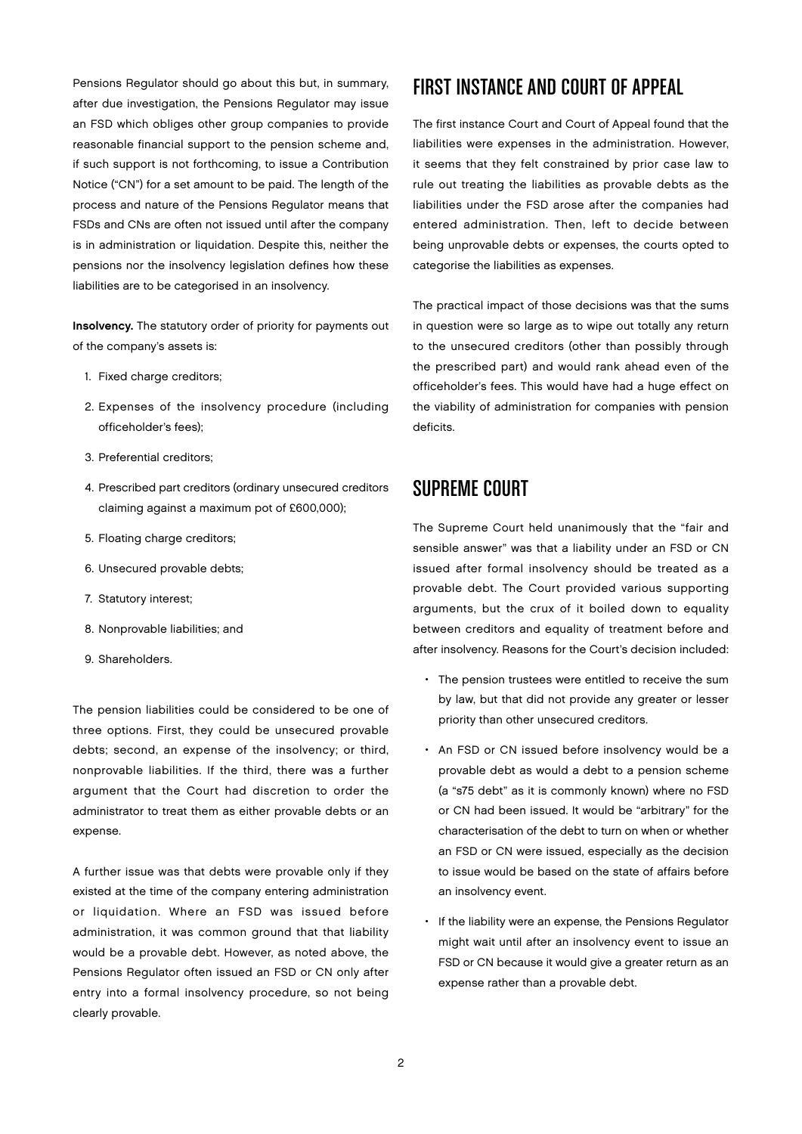Pensions Regulator should go about this but, in summary, after due investigation, the Pensions Regulator may issue an FSD which obliges other group companies to provide reasonable financial support to the pension scheme and, if such support is not forthcoming, to issue a Contribution Notice ("CN") for a set amount to be paid. The length of the process and nature of the Pensions Regulator means that FSDs and CNs are often not issued until after the company is in administration or liquidation. Despite this, neither the pensions nor the insolvency legislation defines how these liabilities are to be categorised in an insolvency.

Insolvency. The statutory order of priority for payments out of the company's assets is:

- 1. Fixed charge creditors;
- 2. Expenses of the insolvency procedure (including officeholder's fees);
- 3. Preferential creditors;
- 4. Prescribed part creditors (ordinary unsecured creditors claiming against a maximum pot of £600,000);
- 5. Floating charge creditors;
- 6. Unsecured provable debts;
- 7. Statutory interest;
- 8. Nonprovable liabilities; and
- 9. Shareholders.

The pension liabilities could be considered to be one of three options. First, they could be unsecured provable debts; second, an expense of the insolvency; or third, nonprovable liabilities. If the third, there was a further argument that the Court had discretion to order the administrator to treat them as either provable debts or an expense.

A further issue was that debts were provable only if they existed at the time of the company entering administration or liquidation. Where an FSD was issued before administration, it was common ground that that liability would be a provable debt. However, as noted above, the Pensions Regulator often issued an FSD or CN only after entry into a formal insolvency procedure, so not being clearly provable.

# First Instance and Court of Appeal

The first instance Court and Court of Appeal found that the liabilities were expenses in the administration. However, it seems that they felt constrained by prior case law to rule out treating the liabilities as provable debts as the liabilities under the FSD arose after the companies had entered administration. Then, left to decide between being unprovable debts or expenses, the courts opted to categorise the liabilities as expenses.

The practical impact of those decisions was that the sums in question were so large as to wipe out totally any return to the unsecured creditors (other than possibly through the prescribed part) and would rank ahead even of the officeholder's fees. This would have had a huge effect on the viability of administration for companies with pension deficits.

## Supreme Court

The Supreme Court held unanimously that the "fair and sensible answer" was that a liability under an FSD or CN issued after formal insolvency should be treated as a provable debt. The Court provided various supporting arguments, but the crux of it boiled down to equality between creditors and equality of treatment before and after insolvency. Reasons for the Court's decision included:

- The pension trustees were entitled to receive the sum by law, but that did not provide any greater or lesser priority than other unsecured creditors.
- An FSD or CN issued before insolvency would be a provable debt as would a debt to a pension scheme (a "s75 debt" as it is commonly known) where no FSD or CN had been issued. It would be "arbitrary" for the characterisation of the debt to turn on when or whether an FSD or CN were issued, especially as the decision to issue would be based on the state of affairs before an insolvency event.
- If the liability were an expense, the Pensions Regulator might wait until after an insolvency event to issue an FSD or CN because it would give a greater return as an expense rather than a provable debt.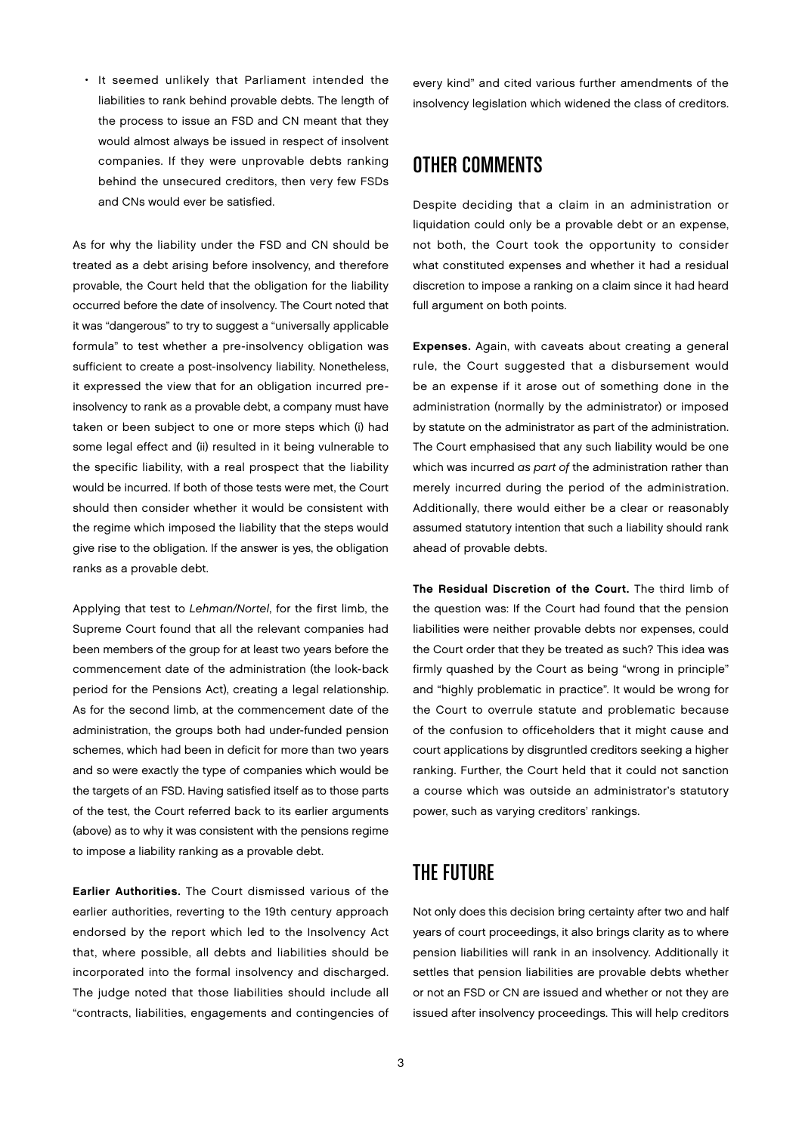• It seemed unlikely that Parliament intended the liabilities to rank behind provable debts. The length of the process to issue an FSD and CN meant that they would almost always be issued in respect of insolvent companies. If they were unprovable debts ranking behind the unsecured creditors, then very few FSDs and CNs would ever be satisfied.

As for why the liability under the FSD and CN should be treated as a debt arising before insolvency, and therefore provable, the Court held that the obligation for the liability occurred before the date of insolvency. The Court noted that it was "dangerous" to try to suggest a "universally applicable formula" to test whether a pre-insolvency obligation was sufficient to create a post-insolvency liability. Nonetheless, it expressed the view that for an obligation incurred preinsolvency to rank as a provable debt, a company must have taken or been subject to one or more steps which (i) had some legal effect and (ii) resulted in it being vulnerable to the specific liability, with a real prospect that the liability would be incurred. If both of those tests were met, the Court should then consider whether it would be consistent with the regime which imposed the liability that the steps would give rise to the obligation. If the answer is yes, the obligation ranks as a provable debt.

Applying that test to Lehman/Nortel, for the first limb, the Supreme Court found that all the relevant companies had been members of the group for at least two years before the commencement date of the administration (the look-back period for the Pensions Act), creating a legal relationship. As for the second limb, at the commencement date of the administration, the groups both had under-funded pension schemes, which had been in deficit for more than two years and so were exactly the type of companies which would be the targets of an FSD. Having satisfied itself as to those parts of the test, the Court referred back to its earlier arguments (above) as to why it was consistent with the pensions regime to impose a liability ranking as a provable debt.

Earlier Authorities. The Court dismissed various of the earlier authorities, reverting to the 19th century approach endorsed by the report which led to the Insolvency Act that, where possible, all debts and liabilities should be incorporated into the formal insolvency and discharged. The judge noted that those liabilities should include all "contracts, liabilities, engagements and contingencies of

every kind" and cited various further amendments of the insolvency legislation which widened the class of creditors.

# Other Comments

Despite deciding that a claim in an administration or liquidation could only be a provable debt or an expense, not both, the Court took the opportunity to consider what constituted expenses and whether it had a residual discretion to impose a ranking on a claim since it had heard full argument on both points.

Expenses. Again, with caveats about creating a general rule, the Court suggested that a disbursement would be an expense if it arose out of something done in the administration (normally by the administrator) or imposed by statute on the administrator as part of the administration. The Court emphasised that any such liability would be one which was incurred as part of the administration rather than merely incurred during the period of the administration. Additionally, there would either be a clear or reasonably assumed statutory intention that such a liability should rank ahead of provable debts.

The Residual Discretion of the Court. The third limb of the question was: If the Court had found that the pension liabilities were neither provable debts nor expenses, could the Court order that they be treated as such? This idea was firmly quashed by the Court as being "wrong in principle" and "highly problematic in practice". It would be wrong for the Court to overrule statute and problematic because of the confusion to officeholders that it might cause and court applications by disgruntled creditors seeking a higher ranking. Further, the Court held that it could not sanction a course which was outside an administrator's statutory power, such as varying creditors' rankings.

# The Future

Not only does this decision bring certainty after two and half years of court proceedings, it also brings clarity as to where pension liabilities will rank in an insolvency. Additionally it settles that pension liabilities are provable debts whether or not an FSD or CN are issued and whether or not they are issued after insolvency proceedings. This will help creditors